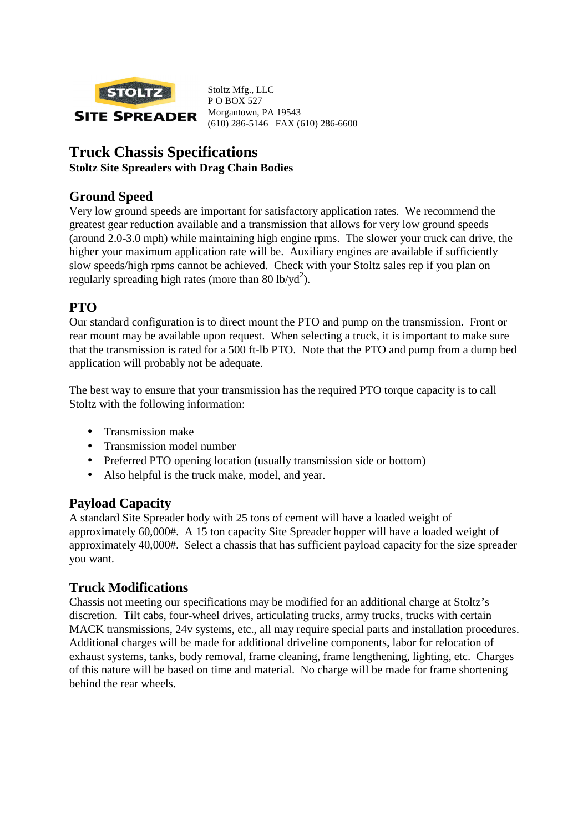

Stoltz Mfg., LLC P O BOX 527 Morgantown, PA 19543 (610) 286-5146 FAX (610) 286-6600

# **Truck Chassis Specifications**

#### **Stoltz Site Spreaders with Drag Chain Bodies**

### **Ground Speed**

Very low ground speeds are important for satisfactory application rates. We recommend the greatest gear reduction available and a transmission that allows for very low ground speeds (around 2.0-3.0 mph) while maintaining high engine rpms. The slower your truck can drive, the higher your maximum application rate will be. Auxiliary engines are available if sufficiently slow speeds/high rpms cannot be achieved. Check with your Stoltz sales rep if you plan on regularly spreading high rates (more than 80 lb/yd<sup>2</sup>).

# **PTO**

Our standard configuration is to direct mount the PTO and pump on the transmission. Front or rear mount may be available upon request. When selecting a truck, it is important to make sure that the transmission is rated for a 500 ft-lb PTO. Note that the PTO and pump from a dump bed application will probably not be adequate.

The best way to ensure that your transmission has the required PTO torque capacity is to call Stoltz with the following information:

- Transmission make
- Transmission model number
- Preferred PTO opening location (usually transmission side or bottom)
- Also helpful is the truck make, model, and year.

#### **Payload Capacity**

A standard Site Spreader body with 25 tons of cement will have a loaded weight of approximately 60,000#. A 15 ton capacity Site Spreader hopper will have a loaded weight of approximately 40,000#. Select a chassis that has sufficient payload capacity for the size spreader you want.

#### **Truck Modifications**

Chassis not meeting our specifications may be modified for an additional charge at Stoltz's discretion. Tilt cabs, four-wheel drives, articulating trucks, army trucks, trucks with certain MACK transmissions, 24v systems, etc., all may require special parts and installation procedures. Additional charges will be made for additional driveline components, labor for relocation of exhaust systems, tanks, body removal, frame cleaning, frame lengthening, lighting, etc. Charges of this nature will be based on time and material. No charge will be made for frame shortening behind the rear wheels.